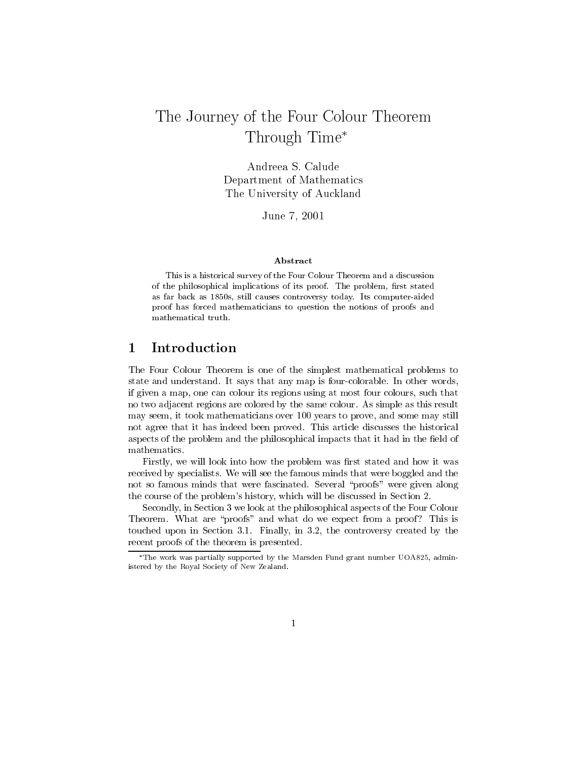# The Journey of the Four Colour Theorem Through Time\*

Andreea S. Calude Department of Mathematics The University of Auckland

June 7, 2001

### Abstract

This is a historical survey of the Four Colour Theorem and a discussion of the philosophical implications of its proof. The problem, first stated as far back as 1850s, still causes controversy today. Its computer-aided proof has forced mathematicians to question the notions of proofs and mathematical truth.

#### Introduction 1

The Four Colour Theorem is one of the simplest mathematical problems to state and understand. It says that any map is four-colorable. In other words, if given a map, one can colour its regions using at most four colours, such that no two adjacent regions are colored by the same colour. As simple as this result may seem, it took mathematicians over 100 years to prove, and some may still not agree that it has indeed been proved. This article discusses the historical aspects of the problem and the philosophical impacts that it had in the field of mathematics.

Firstly, we will look into how the problem was first stated and how it was received by specialists. We will see the famous minds that were boggled and the not so famous minds that were fascinated. Several "proofs" were given along the course of the problem's history, which will be discussed in Section 2.

Secondly, in Section 3 we look at the philosophical aspects of the Four Colour Theorem. What are "proofs" and what do we expect from a proof? This is touched upon in Section 3.1. Finally, in 3.2, the controversy created by the recent proofs of the theorem is presented.

<sup>\*</sup>The work was partially supported by the Marsden Fund grant number UOA825, administered by the Royal Society of New Zealand.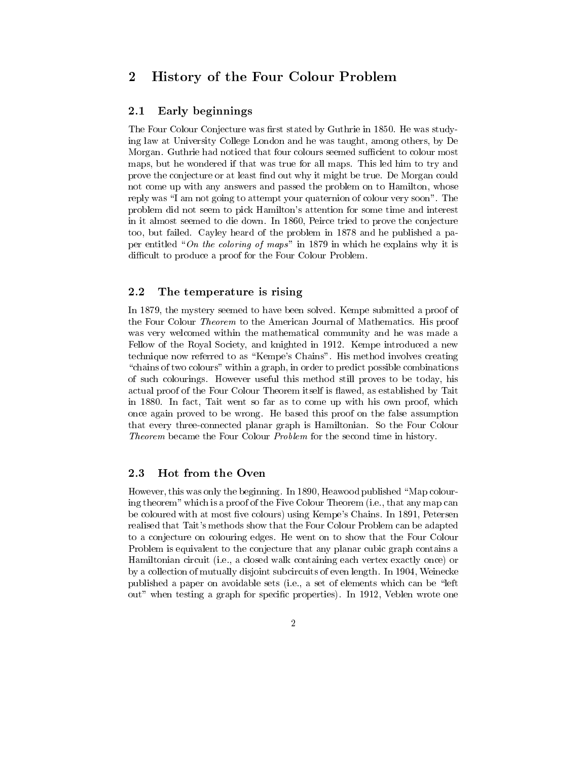#### $\overline{2}$ History of the Four Colour Problem

#### 2.1 Early beginnings

The Four Colour Conjecture was first stated by Guthrie in 1850. He was studying law at University College London and he was taught, among others, by De Morgan. Guthrie had noticed that four colours seemed sufficient to colour most maps, but he wondered if that was true for all maps. This led him to try and prove the conjecture or at least find out why it might be true. De Morgan could not come up with any answers and passed the problem on to Hamilton, whose reply was "I am not going to attempt your quaternion of colour very soon". The problem did not seem to pick Hamilton's attention for some time and interest in it almost seemed to die down. In 1860, Peirce tried to prove the conjecture too, but failed. Cayley heard of the problem in 1878 and he published a paper entitled "On the coloring of maps" in 1879 in which he explains why it is difficult to produce a proof for the Four Colour Problem.

#### 2.2 The temperature is rising

In 1879, the mystery seemed to have been solved. Kempe submitted a proof of the Four Colour *Theorem* to the American Journal of Mathematics. His proof was very welcomed within the mathematical community and he was made a Fellow of the Royal Society, and knighted in 1912. Kempe introduced a new technique now referred to as "Kempe's Chains". His method involves creating "chains of two colours" within a graph, in order to predict possible combinations" of such colourings. However useful this method still proves to be today, his actual proof of the Four Colour Theorem itself is flawed, as established by Tait in 1880. In fact, Tait went so far as to come up with his own proof, which once again proved to be wrong. He based this proof on the false assumption that every three-connected planar graph is Hamiltonian. So the Four Colour Theorem became the Four Colour Problem for the second time in history.

#### 2.3 Hot from the Oven

However, this was only the beginning. In 1890, Heawood published "Map colouring theorem" which is a proof of the Five Colour Theorem (i.e., that any map can be coloured with at most five colours) using Kempe's Chains. In 1891, Petersen realised that Tait's methods show that the Four Colour Problem can be adapted to a conjecture on colouring edges. He went on to show that the Four Colour Problem is equivalent to the conjecture that any planar cubic graph contains a Hamiltonian circuit (i.e., a closed walk containing each vertex exactly once) or by a collection of mutually disjoint subcircuits of even length. In 1904, Weinecke published a paper on avoidable sets (i.e., a set of elements which can be "left" out" when testing a graph for specific properties). In 1912, Veblen wrote one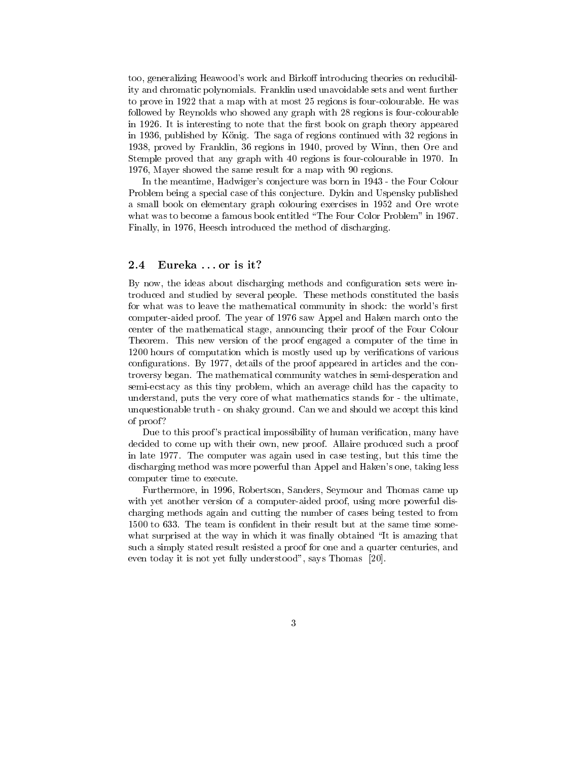too, generalizing Heawood's work and Birkoff introducing theories on reducibility and chromatic polynomials. Franklin used unavoidable sets and went further to prove in 1922 that a map with at most 25 regions is four-colourable. He was followed by Reynolds who showed any graph with 28 regions is four-colourable in 1926. It is interesting to note that the first book on graph theory appeared in 1936, published by König. The saga of regions continued with 32 regions in 1938, proved by Franklin, 36 regions in 1940, proved by Winn, then Ore and Stemple proved that any graph with 40 regions is four-colourable in 1970. In 1976, Mayer showed the same result for a map with 90 regions.

In the meantime, Hadwiger's conjecture was born in 1943 - the Four Colour Problem being a special case of this conjecture. Dykin and Uspensky published a small book on elementary graph colouring exercises in 1952 and Ore wrote what was to become a famous book entitled "The Four Color Problem" in 1967. Finally, in 1976, Heesch introduced the method of discharging.

#### $2.4\,$ Eureka ...or is it?

By now, the ideas about discharging methods and configuration sets were introduced and studied by several people. These methods constituted the basis for what was to leave the mathematical community in shock: the world's first computer-aided proof. The year of 1976 saw Appel and Haken march onto the center of the mathematical stage, announcing their proof of the Four Colour Theorem. This new version of the proof engaged a computer of the time in 1200 hours of computation which is mostly used up by verifications of various configurations. By 1977, details of the proof appeared in articles and the controversy began. The mathematical community watches in semi-desperation and semi-ecstacy as this tiny problem, which an average child has the capacity to understand, puts the very core of what mathematics stands for - the ultimate, unquestionable truth - on shaky ground. Can we and should we accept this kind of proof?

Due to this proof's practical impossibility of human verification, many have decided to come up with their own, new proof. Allaire produced such a proof in late 1977. The computer was again used in case testing, but this time the discharging method was more powerful than Appel and Haken's one, taking less computer time to execute.

Furthermore, in 1996, Robertson, Sanders, Seymour and Thomas came up with yet another version of a computer-aided proof, using more powerful discharging methods again and cutting the number of cases being tested to from 1500 to 633. The team is confident in their result but at the same time somewhat surprised at the way in which it was finally obtained "It is amazing that such a simply stated result resisted a proof for one and a quarter centuries, and even today it is not yet fully understood", says Thomas [20].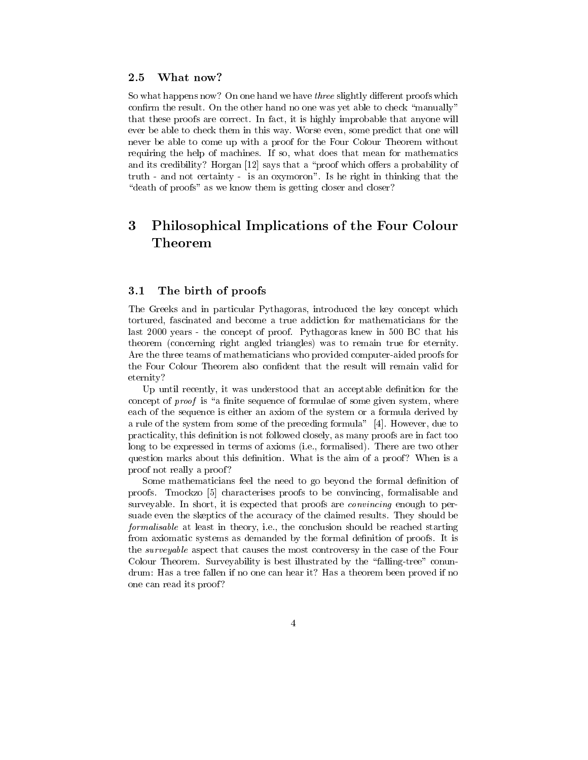#### 2.5 What now?

So what happens now? On one hand we have three slightly different proofs which confirm the result. On the other hand no one was yet able to check "manually" that these proofs are correct. In fact, it is highly improbable that anyone will ever be able to check them in this way. Worse even, some predict that one will never be able to come up with a proof for the Four Colour Theorem without requiring the help of machines. If so, what does that mean for mathematics and its credibility? Horgan [12] says that a "proof which offers a probability of truth - and not certainty - is an oxymoron". Is he right in thinking that the "death of proofs" as we know them is getting closer and closer?

### 3 Philosophical Implications of the Four Colour Theorem

#### $3.1$ The birth of proofs

The Greeks and in particular Pythagoras, introduced the key concept which tortured, fascinated and become a true addiction for mathematicians for the last 2000 years - the concept of proof. Pythagoras knew in 500 BC that his theorem (concerning right angled triangles) was to remain true for eternity. Are the three teams of mathematicians who provided computer-aided proofs for the Four Colour Theorem also confident that the result will remain valid for eternity?

Up until recently, it was understood that an acceptable definition for the concept of *proof* is "a finite sequence of formulae of some given system, where each of the sequence is either an axiom of the system or a formula derived by a rule of the system from some of the preceding formula" [4]. However, due to practicality, this definition is not followed closely, as many proofs are in fact too long to be expressed in terms of axioms (i.e., formalised). There are two other question marks about this definition. What is the aim of a proof? When is a proof not really a proof?

Some mathematicians feel the need to go beyond the formal definition of proofs. Tmockzo [5] characterises proofs to be convincing, formalisable and surveyable. In short, it is expected that proofs are *convincing* enough to persuade even the skeptics of the accuracy of the claimed results. They should be formalisable at least in theory, i.e., the conclusion should be reached starting from axiomatic systems as demanded by the formal definition of proofs. It is the *surveyable* aspect that causes the most controversy in the case of the Four Colour Theorem. Surveyability is best illustrated by the "falling-tree" conundrum: Has a tree fallen if no one can hear it? Has a theorem been proved if no one can read its proof?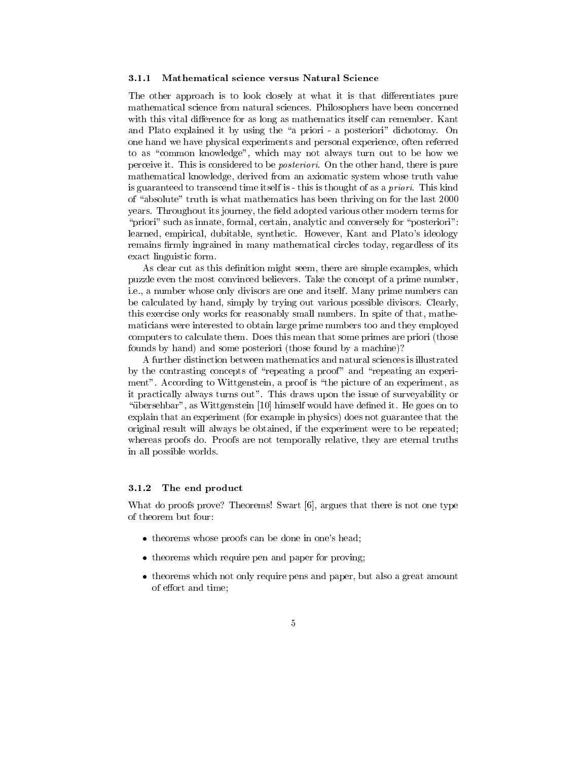#### $3.1.1$ Mathematical science versus Natural Science

The other approach is to look closely at what it is that differentiates pure mathematical science from natural sciences. Philosophers have been concerned with this vital difference for as long as mathematics itself can remember. Kant and Plato explained it by using the "a priori - a posteriori" dichotomy. On one hand we have physical experiments and personal experience, often referred to as "common knowledge", which may not always turn out to be how we perceive it. This is considered to be *posteriori*. On the other hand, there is pure mathematical knowledge, derived from an axiomatic system whose truth value is guaranteed to transcend time itself is - this is thought of as a *priori*. This kind of "absolute" truth is what mathematics has been thriving on for the last 2000 years. Throughout its journey, the field adopted various other modern terms for "priori" such as innate, formal, certain, analytic and conversely for "posteriori": learned, empirical, dubitable, synthetic. However, Kant and Plato's ideology remains firmly ingrained in many mathematical circles today, regardless of its exact linguistic form.

As clear cut as this definition might seem, there are simple examples, which puzzle even the most convinced believers. Take the concept of a prime number, i.e., a number whose only divisors are one and itself. Many prime numbers can be calculated by hand, simply by trying out various possible divisors. Clearly, this exercise only works for reasonably small numbers. In spite of that, mathematicians were interested to obtain large prime numbers too and they employed computers to calculate them. Does this mean that some primes are priori (those founds by hand) and some posteriori (those found by a machine)?

A further distinction between mathematics and natural sciences is illustrated by the contrasting concepts of "repeating a proof" and "repeating an experiment". According to Wittgenstein, a proof is "the picture of an experiment, as it practically always turns out". This draws upon the issue of surveyability or "übersehbar", as Wittgenstein [10] himself would have defined it. He goes on to explain that an experiment (for example in physics) does not guarantee that the original result will always be obtained, if the experiment were to be repeated; whereas proofs do. Proofs are not temporally relative, they are eternal truths in all possible worlds.

#### The end product  $3.1.2$

What do proofs prove? Theorems! Swart [6], argues that there is not one type of theorem but four:

- theorems whose proofs can be done in one's head;
- theorems which require pen and paper for proving;
- theorems which not only require pens and paper, but also a great amount of effort and time;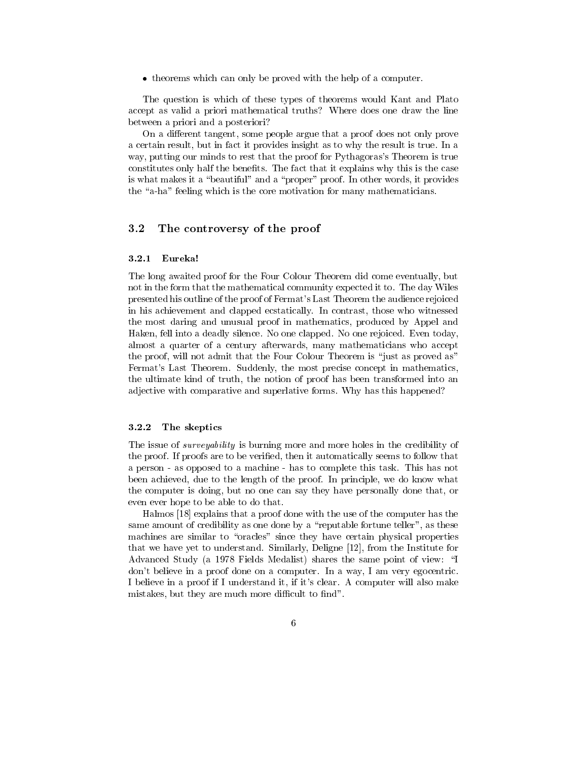• theorems which can only be proved with the help of a computer.

The question is which of these types of theorems would Kant and Plato accept as valid a priori mathematical truths? Where does one draw the line between a priori and a posteriori?

On a different tangent, some people argue that a proof does not only prove a certain result, but in fact it provides insight as to why the result is true. In a way, putting our minds to rest that the proof for Pythagoras's Theorem is true constitutes only half the benefits. The fact that it explains why this is the case is what makes it a "beautiful" and a "proper" proof. In other words, it provides the "a-ha" feeling which is the core motivation for many mathematicians.

#### $3.2$ The controversy of the proof

#### $3.2.1$ Eureka!

The long awaited proof for the Four Colour Theorem did come eventually, but not in the form that the mathematical community expected it to. The day Wiles presented his outline of the proof of Fermat's Last Theorem the audience rejoiced in his achievement and clapped ecstatically. In contrast, those who witnessed the most daring and unusual proof in mathematics, produced by Appel and Haken, fell into a deadly silence. No one clapped. No one rejoiced. Even today, almost a quarter of a century afterwards, many mathematicians who accept the proof, will not admit that the Four Colour Theorem is "just as proved as" Fermat's Last Theorem. Suddenly, the most precise concept in mathematics, the ultimate kind of truth, the notion of proof has been transformed into an adjective with comparative and superlative forms. Why has this happened?

#### 3.2.2 The skeptics

The issue of *surveyability* is burning more and more holes in the credibility of the proof. If proofs are to be verified, then it automatically seems to follow that a person - as opposed to a machine - has to complete this task. This has not been achieved, due to the length of the proof. In principle, we do know what the computer is doing, but no one can say they have personally done that, or even ever hope to be able to do that.

Halmos [18] explains that a proof done with the use of the computer has the same amount of credibility as one done by a "reputable fortune teller", as these machines are similar to "oracles" since they have certain physical properties that we have yet to understand. Similarly, Deligne [12], from the Institute for Advanced Study (a 1978 Fields Medalist) shares the same point of view: "I don't believe in a proof done on a computer. In a way, I am very egocentric. I believe in a proof if I understand it, if it's clear. A computer will also make mistakes, but they are much more difficult to find".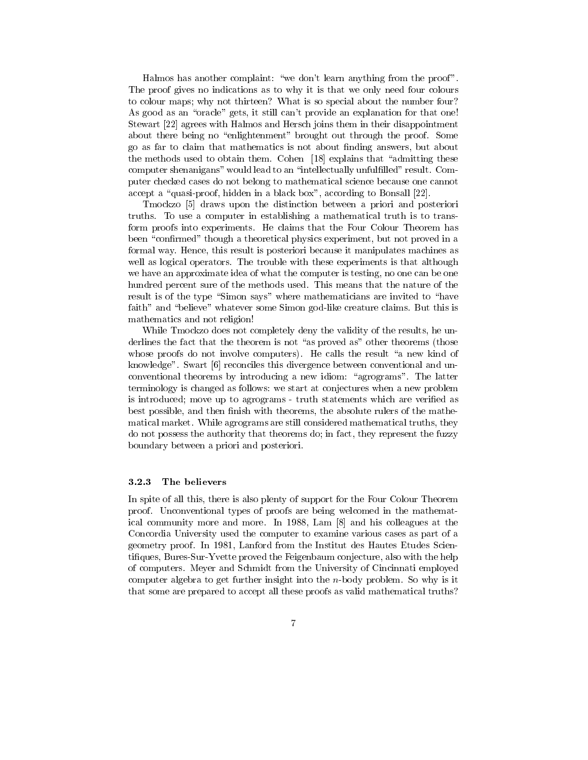Halmos has another complaint: "we don't learn anything from the proof". The proof gives no indications as to why it is that we only need four colours to colour maps; why not thirteen? What is so special about the number four? As good as an "oracle" gets, it still can't provide an explanation for that one! Stewart [22] agrees with Halmos and Hersch joins them in their disappointment about there being no "enlightenment" brought out through the proof. Some go as far to claim that mathematics is not about finding answers, but about the methods used to obtain them. Cohen [18] explains that "admitting these computer shenanigans" would lead to an "intellectually unfulfilled" result. Computer checked cases do not belong to mathematical science because one cannot accept a "quasi-proof, hidden in a black box", according to Bonsall [22].

Tmockzo [5] draws upon the distinction between a priori and posteriori truths. To use a computer in establishing a mathematical truth is to transform proofs into experiments. He claims that the Four Colour Theorem has been "confirmed" though a theoretical physics experiment, but not proved in a formal way. Hence, this result is posteriori because it manipulates machines as well as logical operators. The trouble with these experiments is that although we have an approximate idea of what the computer is testing, no one can be one hundred percent sure of the methods used. This means that the nature of the result is of the type "Simon says" where mathematicians are invited to "have faith" and "believe" whatever some Simon god-like creature claims. But this is mathematics and not religion!

While Tmockzo does not completely deny the validity of the results, he underlines the fact that the theorem is not "as proved as" other theorems (those whose proofs do not involve computers). He calls the result "a new kind of knowledge". Swart [6] reconciles this divergence between conventional and unconventional theorems by introducing a new idiom: "agrograms". The latter terminology is changed as follows: we start at conjectures when a new problem is introduced; move up to agrograms - truth statements which are verified as best possible, and then finish with theorems, the absolute rulers of the mathematical market. While agrograms are still considered mathematical truths, they do not possess the authority that theorems do: in fact, they represent the fuzzy boundary between a priori and posteriori.

#### $3.2.3$ The believers

In spite of all this, there is also plenty of support for the Four Colour Theorem proof. Unconventional types of proofs are being welcomed in the mathematical community more and more. In 1988, Lam [8] and his colleagues at the Concordia University used the computer to examine various cases as part of a geometry proof. In 1981, Lanford from the Institut des Hautes Etudes Scientifiques, Bures-Sur-Yvette proved the Feigenbaum conjecture, also with the help of computers. Meyer and Schmidt from the University of Cincinnati employed computer algebra to get further insight into the *n*-body problem. So why is it that some are prepared to accept all these proofs as valid mathematical truths?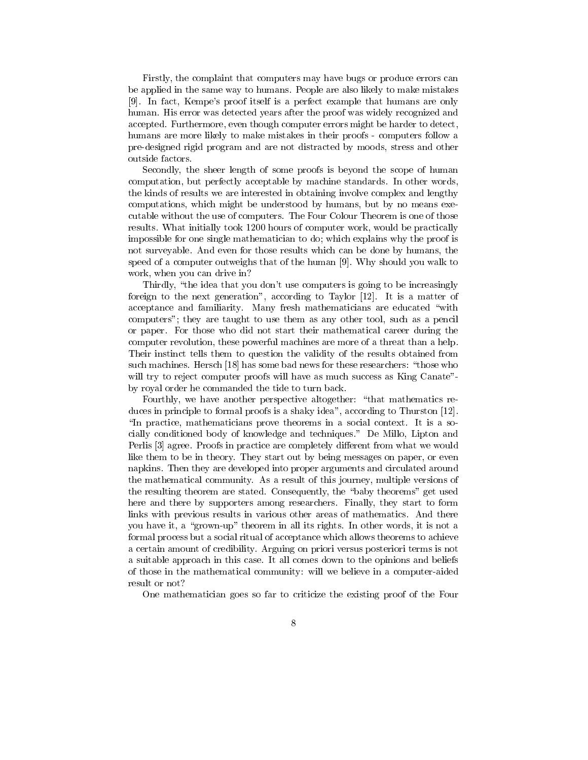Firstly, the complaint that computers may have bugs or produce errors can be applied in the same way to humans. People are also likely to make mistakes [9]. In fact, Kempe's proof itself is a perfect example that humans are only human. His error was detected years after the proof was widely recognized and accepted. Furthermore, even though computer errors might be harder to detect, humans are more likely to make mistakes in their proofs - computers follow a pre-designed rigid program and are not distracted by moods, stress and other outside factors.

Secondly, the sheer length of some proofs is beyond the scope of human computation, but perfectly acceptable by machine standards. In other words, the kinds of results we are interested in obtaining involve complex and lengthy computations, which might be understood by humans, but by no means executable without the use of computers. The Four Colour Theorem is one of those results. What initially took 1200 hours of computer work, would be practically impossible for one single mathematician to do; which explains why the proof is not surveyable. And even for those results which can be done by humans, the speed of a computer outweighs that of the human [9]. Why should you walk to work, when you can drive in?

Thirdly, "the idea that you don't use computers is going to be increasingly foreign to the next generation", according to Taylor [12]. It is a matter of acceptance and familiarity. Many fresh mathematicians are educated "with computers"; they are taught to use them as any other tool, such as a pencil or paper. For those who did not start their mathematical career during the computer revolution, these powerful machines are more of a threat than a help. Their instinct tells them to question the validity of the results obtained from such machines. Hersch [18] has some bad news for these researchers: "those who will try to reject computer proofs will have as much success as King Canate"by royal order he commanded the tide to turn back.

Fourthly, we have another perspective altogether: "that mathematics reduces in principle to formal proofs is a shaky idea", according to Thurston [12]. "In practice, mathematicians prove theorems in a social context. It is a socially conditioned body of knowledge and techniques." De Millo, Lipton and Perlis [3] agree. Proofs in practice are completely different from what we would like them to be in theory. They start out by being messages on paper, or even napkins. Then they are developed into proper arguments and circulated around the mathematical community. As a result of this journey, multiple versions of the resulting theorem are stated. Consequently, the "baby theorems" get used here and there by supporters among researchers. Finally, they start to form links with previous results in various other areas of mathematics. And there you have it, a "grown-up" theorem in all its rights. In other words, it is not a formal process but a social ritual of acceptance which allows theorems to achieve a certain amount of credibility. Arguing on priori versus posteriori terms is not a suitable approach in this case. It all comes down to the opinions and beliefs of those in the mathematical community: will we believe in a computer-aided result or not?

One mathematician goes so far to criticize the existing proof of the Four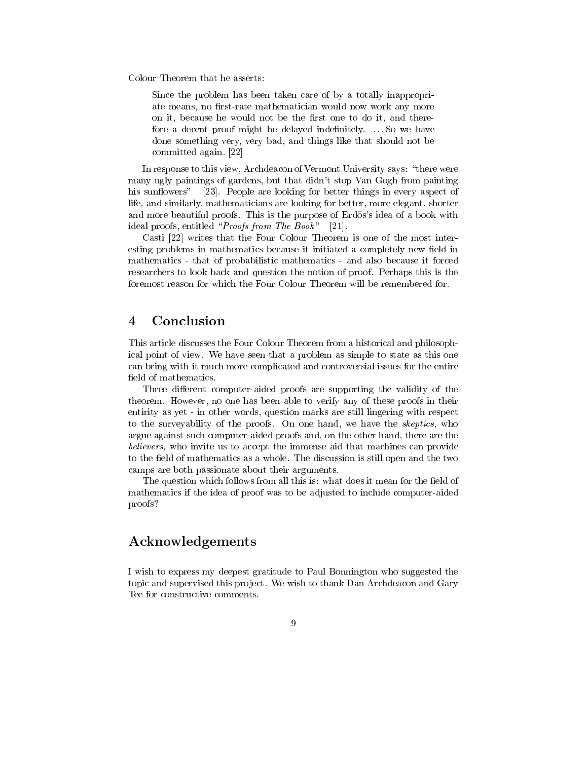Colour Theorem that he asserts:

Since the problem has been taken care of by a totally inappropriate means, no first-rate mathematician would now work any more on it, because he would not be the first one to do it, and therefore a decent proof might be delayed indefinitely. ... So we have done something very, very bad, and things like that should not be committed again. [22]

In response to this view, Archdeacon of Vermont University says: "there were many ugly paintings of gardens, but that didn't stop Van Gogh from painting his sunflowers" [23]. People are looking for better things in every aspect of life, and similarly, mathematicians are looking for better, more elegant, shorter and more beautiful proofs. This is the purpose of Erdös's idea of a book with ideal proofs, entitled "Proofs from The Book" [21].

Casti [22] writes that the Four Colour Theorem is one of the most interesting problems in mathematics because it initiated a completely new field in mathematics - that of probabilistic mathematics - and also because it forced researchers to look back and question the notion of proof. Perhaps this is the foremost reason for which the Four Colour Theorem will be remembered for.

#### Conclusion 4

This article discusses the Four Colour Theorem from a historical and philosophical point of view. We have seen that a problem as simple to state as this one can bring with it much more complicated and controversial issues for the entire field of mathematics.

Three different computer-aided proofs are supporting the validity of the theorem. However, no one has been able to verify any of these proofs in their entirity as yet - in other words, question marks are still lingering with respect to the surveyability of the proofs. On one hand, we have the *skeptics*, who argue against such computer-aided proofs and, on the other hand, there are the believers, who invite us to accept the immense aid that machines can provide to the field of mathematics as a whole. The discussion is still open and the two camps are both passionate about their arguments.

The question which follows from all this is: what does it mean for the field of mathematics if the idea of proof was to be adjusted to include computer-aided proofs?

## Acknowledgements

I wish to express my deepest gratitude to Paul Bonnington who suggested the topic and supervised this project. We wish to thank Dan Archdeacon and Gary Tee for constructive comments.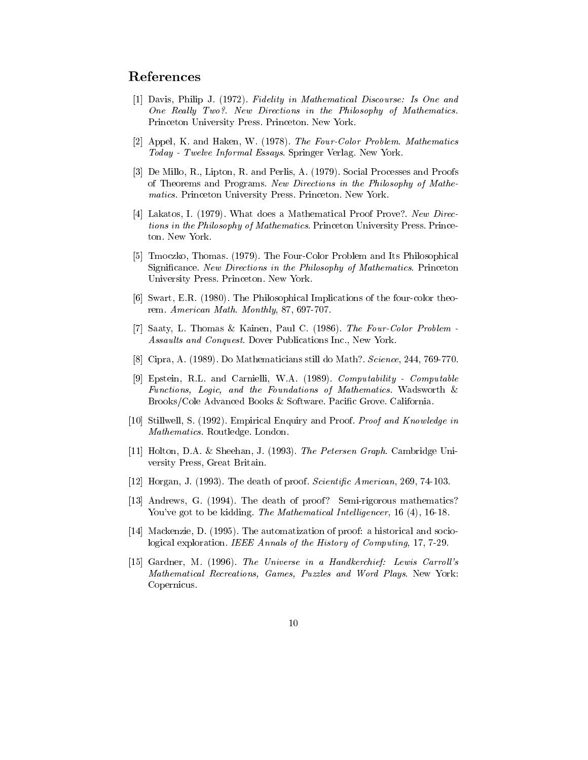# References

- [1] Davis, Philip J. (1972). Fidelity in Mathematical Discourse: Is One and One Really Two?. New Directions in the Philosophy of Mathematics Princeton University Press. Princeton. New York.
- [2] Appel, K. and Haken, W. (1978). The Four-Color Problem. Mathematics Today - Twelve Informal Essays. Springer Verlag. New York.
- [3] De Millo, R., Lipton, R. and Perlis, A. (1979). Social Processes and Proofs of Theorems and Programs. New Directions in the Philosophy of Mathematics. Princeton University Press. Princeton. New York.
- [4] Lakatos, I. (1979). What does a Mathematical Proof Prove?. New Directions in the Philosophy of Mathematics. Princeton University Press. Princeton. New York.
- [5] Tmoczko, Thomas. (1979). The Four-Color Problem and Its Philosophical Significance. New Directions in the Philosophy of Mathematics. Princeton University Press. Princeton. New York.
- [6] Swart, E.R. (1980). The Philosophical Implications of the four-color theorem. American Math. Monthly, 87, 697-707.
- [7] Saaty, L. Thomas & Kainen, Paul C. (1986). The Four-Color Problem -Assaults and Conquest. Dover Publications Inc., New York.
- [8] Cipra, A. (1989). Do Mathematicians still do Math?. Science, 244, 769-770.
- [9] Epstein, R.L. and Carnielli, W.A. (1989). Computability Computable Functions, Logic, and the Foundations of Mathematics. Wadsworth & Brooks/Cole Advanced Books & Software. Pacific Grove. California.
- [10] Stillwell, S. (1992). Empirical Enquiry and Proof. Proof and Knowledge in Mathematics. Routledge. London.
- [11] Holton, D.A. & Sheehan, J. (1993). The Petersen Graph. Cambridge University Press, Great Britain.
- [12] Horgan, J. (1993). The death of proof. *Scientific American*, 269, 74-103.
- [13] Andrews, G. (1994). The death of proof? Semi-rigorous mathematics? You've got to be kidding. The Mathematical Intelligencer, 16 (4), 16-18.
- [14] Mackenzie, D. (1995). The automatization of proof: a historical and sociological exploration. IEEE Annals of the History of Computing, 17, 7-29.
- [15] Gardner, M. (1996). The Universe in a Handkerchief: Lewis Carroll's Mathematical Recreations, Games, Puzzles and Word Plays. New York: Copernicus.